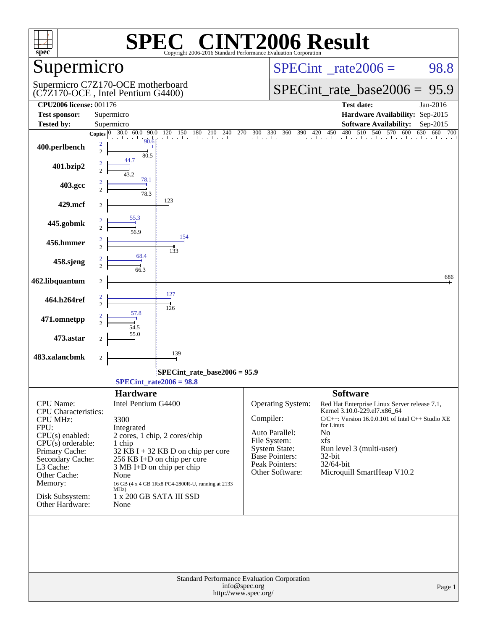| spec <sup>®</sup>                                                                                                                                                                                                                          |                                                                                                                                                                                                                                                                                                  | $\blacksquare$<br>Copyright 2006-2016 Standard Performance Evaluation Corporation    | <b>VT2006 Result</b>                                                                                                                                   |                                                                                                                                                                                                                                                            |                   |
|--------------------------------------------------------------------------------------------------------------------------------------------------------------------------------------------------------------------------------------------|--------------------------------------------------------------------------------------------------------------------------------------------------------------------------------------------------------------------------------------------------------------------------------------------------|--------------------------------------------------------------------------------------|--------------------------------------------------------------------------------------------------------------------------------------------------------|------------------------------------------------------------------------------------------------------------------------------------------------------------------------------------------------------------------------------------------------------------|-------------------|
| Supermicro                                                                                                                                                                                                                                 |                                                                                                                                                                                                                                                                                                  |                                                                                      | $SPECint^{\circ}$ rate $2006 =$                                                                                                                        | 98.8                                                                                                                                                                                                                                                       |                   |
|                                                                                                                                                                                                                                            | Supermicro C7Z170-OCE motherboard<br>(C7Z170-OCE, Intel Pentium G4400)                                                                                                                                                                                                                           |                                                                                      |                                                                                                                                                        | $SPECint_rate\_base2006 =$                                                                                                                                                                                                                                 | 95.9              |
| <b>CPU2006 license: 001176</b><br><b>Test sponsor:</b>                                                                                                                                                                                     | Supermicro                                                                                                                                                                                                                                                                                       |                                                                                      |                                                                                                                                                        | <b>Test date:</b><br>Hardware Availability: Sep-2015                                                                                                                                                                                                       | Jan-2016          |
| <b>Tested by:</b>                                                                                                                                                                                                                          | Supermicro                                                                                                                                                                                                                                                                                       |                                                                                      |                                                                                                                                                        | <b>Software Availability:</b>                                                                                                                                                                                                                              | Sep-2015          |
| 400.perlbench                                                                                                                                                                                                                              | Copies $0 \overline{30.0} \overline{60.0}$<br>90.0<br>120<br>90.6<br>2<br>$\overline{2}$<br>80.5                                                                                                                                                                                                 | 150 180<br>210<br>240 270                                                            | 300 330 360<br>390                                                                                                                                     | $\frac{1}{570}$ 600<br>420<br>450<br>480<br>510<br>540                                                                                                                                                                                                     | 630<br>660<br>700 |
| 401.bzip2                                                                                                                                                                                                                                  | $\mathfrak{D}$<br>78.1                                                                                                                                                                                                                                                                           |                                                                                      |                                                                                                                                                        |                                                                                                                                                                                                                                                            |                   |
| 403.gcc                                                                                                                                                                                                                                    | 78.3                                                                                                                                                                                                                                                                                             |                                                                                      |                                                                                                                                                        |                                                                                                                                                                                                                                                            |                   |
| 429.mcf                                                                                                                                                                                                                                    | 123<br>$\overline{c}$                                                                                                                                                                                                                                                                            |                                                                                      |                                                                                                                                                        |                                                                                                                                                                                                                                                            |                   |
| 445.gobmk                                                                                                                                                                                                                                  | 55.3<br>56.9                                                                                                                                                                                                                                                                                     |                                                                                      |                                                                                                                                                        |                                                                                                                                                                                                                                                            |                   |
| 456.hmmer                                                                                                                                                                                                                                  | $\overline{c}$<br>133                                                                                                                                                                                                                                                                            | 154                                                                                  |                                                                                                                                                        |                                                                                                                                                                                                                                                            |                   |
| 458.sjeng                                                                                                                                                                                                                                  | 68.4<br>$\mathfrak{D}$<br>663                                                                                                                                                                                                                                                                    |                                                                                      |                                                                                                                                                        |                                                                                                                                                                                                                                                            |                   |
| 462.libquantum                                                                                                                                                                                                                             | $\boldsymbol{2}$                                                                                                                                                                                                                                                                                 |                                                                                      |                                                                                                                                                        |                                                                                                                                                                                                                                                            | 686               |
| 464.h264ref                                                                                                                                                                                                                                | $\frac{127}{7}$<br>$\overline{c}$<br>126                                                                                                                                                                                                                                                         |                                                                                      |                                                                                                                                                        |                                                                                                                                                                                                                                                            |                   |
| 471.omnetpp                                                                                                                                                                                                                                | 57.8<br>54.5                                                                                                                                                                                                                                                                                     |                                                                                      |                                                                                                                                                        |                                                                                                                                                                                                                                                            |                   |
| 473.astar                                                                                                                                                                                                                                  | 55.0<br>2                                                                                                                                                                                                                                                                                        |                                                                                      |                                                                                                                                                        |                                                                                                                                                                                                                                                            |                   |
| 483.xalancbmk                                                                                                                                                                                                                              | 139<br>$\sqrt{2}$                                                                                                                                                                                                                                                                                |                                                                                      |                                                                                                                                                        |                                                                                                                                                                                                                                                            |                   |
|                                                                                                                                                                                                                                            | $SPECint_rate2006 = 98.8$                                                                                                                                                                                                                                                                        | SPECint_rate_base2006 = 95.9                                                         |                                                                                                                                                        |                                                                                                                                                                                                                                                            |                   |
|                                                                                                                                                                                                                                            | <b>Hardware</b>                                                                                                                                                                                                                                                                                  |                                                                                      |                                                                                                                                                        | <b>Software</b>                                                                                                                                                                                                                                            |                   |
| <b>CPU</b> Name:<br><b>CPU</b> Characteristics:<br><b>CPU MHz:</b><br>FPU:<br>$CPU(s)$ enabled:<br>$CPU(s)$ orderable:<br>Primary Cache:<br>Secondary Cache:<br>L3 Cache:<br>Other Cache:<br>Memory:<br>Disk Subsystem:<br>Other Hardware: | Intel Pentium G4400<br>3300<br>Integrated<br>2 cores, 1 chip, 2 cores/chip<br>1 chip<br>32 KB I + 32 KB D on chip per core<br>256 KB I+D on chip per core<br>$3 MB I+D$ on chip per chip<br>None<br>16 GB (4 x 4 GB 1Rx8 PC4-2800R-U, running at 2133<br>MHz)<br>1 x 200 GB SATA III SSD<br>None |                                                                                      | Operating System:<br>Compiler:<br>Auto Parallel:<br>File System:<br><b>System State:</b><br><b>Base Pointers:</b><br>Peak Pointers:<br>Other Software: | Red Hat Enterprise Linux Server release 7.1,<br>Kernel 3.10.0-229.el7.x86 64<br>C/C++: Version 16.0.0.101 of Intel C++ Studio XE<br>for Linux<br>N <sub>0</sub><br>xfs<br>Run level 3 (multi-user)<br>$32$ -bit<br>32/64-bit<br>Microquill SmartHeap V10.2 |                   |
|                                                                                                                                                                                                                                            |                                                                                                                                                                                                                                                                                                  | Standard Performance Evaluation Corporation<br>info@spec.org<br>http://www.spec.org/ |                                                                                                                                                        |                                                                                                                                                                                                                                                            | Page 1            |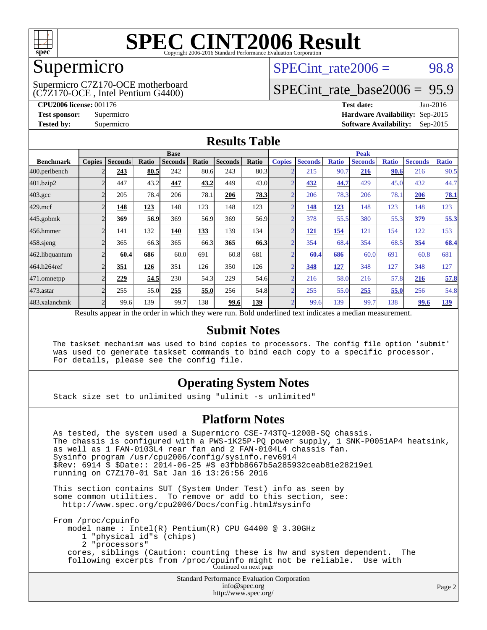

### Supermicro

(C7Z170-OCE , Intel Pentium G4400) Supermicro C7Z170-OCE motherboard SPECint rate $2006 = 98.8$ 

# [SPECint\\_rate\\_base2006 =](http://www.spec.org/auto/cpu2006/Docs/result-fields.html#SPECintratebase2006) 95.9

**[CPU2006 license:](http://www.spec.org/auto/cpu2006/Docs/result-fields.html#CPU2006license)** 001176 **[Test date:](http://www.spec.org/auto/cpu2006/Docs/result-fields.html#Testdate)** Jan-2016 **[Test sponsor:](http://www.spec.org/auto/cpu2006/Docs/result-fields.html#Testsponsor)** Supermicro **[Hardware Availability:](http://www.spec.org/auto/cpu2006/Docs/result-fields.html#HardwareAvailability)** Sep-2015 **[Tested by:](http://www.spec.org/auto/cpu2006/Docs/result-fields.html#Testedby)** Supermicro **Supermicro [Software Availability:](http://www.spec.org/auto/cpu2006/Docs/result-fields.html#SoftwareAvailability)** Sep-2015

#### **[Results Table](http://www.spec.org/auto/cpu2006/Docs/result-fields.html#ResultsTable)**

|                                                                                                          | <b>Base</b>    |                |       |                |       | <b>Peak</b>    |       |                |                |              |                |              |                |              |
|----------------------------------------------------------------------------------------------------------|----------------|----------------|-------|----------------|-------|----------------|-------|----------------|----------------|--------------|----------------|--------------|----------------|--------------|
| <b>Benchmark</b>                                                                                         | <b>Copies</b>  | <b>Seconds</b> | Ratio | <b>Seconds</b> | Ratio | <b>Seconds</b> | Ratio | <b>Copies</b>  | <b>Seconds</b> | <b>Ratio</b> | <b>Seconds</b> | <b>Ratio</b> | <b>Seconds</b> | <b>Ratio</b> |
| 400.perlbench                                                                                            | $\overline{2}$ | 243            | 80.5  | 242            | 80.6  | 243            | 80.3  | $\overline{2}$ | 215            | 90.7         | 216            | 90.6         | 216            | 90.5         |
| 401.bzip2                                                                                                | $\overline{c}$ | 447            | 43.2  | 447            | 43.2  | 449            | 43.0  | $\overline{2}$ | 432            | 44.7         | 429            | 45.0         | 432            | 44.7         |
| $403.\mathrm{gcc}$                                                                                       | $\overline{2}$ | 205            | 78.4  | 206            | 78.1  | 206            | 78.3  | $\overline{2}$ | 206            | 78.3         | 206            | 78.1         | 206            | <b>78.1</b>  |
| $429$ .mcf                                                                                               | $\overline{2}$ | 148            | 123   | 148            | 123   | 148            | 123   | $\overline{2}$ | 148            | 123          | 148            | 123          | 148            | 123          |
| $445$ .gobm $k$                                                                                          | $\overline{c}$ | <u>369</u>     | 56.9  | 369            | 56.9  | 369            | 56.9  | $\overline{2}$ | 378            | 55.5         | 380            | 55.3         | <u>379</u>     | 55.3         |
| 456.hmmer                                                                                                | $\overline{c}$ | 141            | 132   | 140            | 133   | 139            | 134   | $\overline{2}$ | 121            | 154          | 121            | 154          | 122            | 153          |
| $458$ .sjeng                                                                                             | $\overline{2}$ | 365            | 66.3  | 365            | 66.3  | 365            | 66.3  | $\overline{2}$ | 354            | 68.4         | 354            | 68.5         | 354            | 68.4         |
| 462.libquantum                                                                                           | $\overline{c}$ | 60.4           | 686   | 60.0           | 691   | 60.8           | 681   | $\overline{2}$ | 60.4           | 686          | 60.0           | 691          | 60.8           | 681          |
| 464.h264ref                                                                                              | 2              | 351            | 126   | 351            | 126   | 350            | 126   | $\overline{2}$ | 348            | 127          | 348            | 127          | 348            | 127          |
| 471.omnetpp                                                                                              | $\overline{2}$ | <u>229</u>     | 54.5  | 230            | 54.3  | 229            | 54.6  | $\overline{2}$ | 216            | 58.0         | 216            | 57.8         | <u>216</u>     | 57.8         |
| $473$ . astar                                                                                            | $\overline{c}$ | 255            | 55.0  | 255            | 55.0  | 256            | 54.8  | $\overline{2}$ | 255            | 55.0         | 255            | 55.0         | 256            | 54.8         |
| 483.xalancbmk                                                                                            | $\overline{2}$ | 99.6           | 139   | 99.7           | 138   | 99.6           | 139   | $\overline{2}$ | 99.6           | 139          | 99.7           | 138          | 99.6           | <u>139</u>   |
| Results appear in the order in which they were run. Bold underlined text indicates a median measurement. |                |                |       |                |       |                |       |                |                |              |                |              |                |              |

#### **[Submit Notes](http://www.spec.org/auto/cpu2006/Docs/result-fields.html#SubmitNotes)**

 The taskset mechanism was used to bind copies to processors. The config file option 'submit' was used to generate taskset commands to bind each copy to a specific processor. For details, please see the config file.

### **[Operating System Notes](http://www.spec.org/auto/cpu2006/Docs/result-fields.html#OperatingSystemNotes)**

Stack size set to unlimited using "ulimit -s unlimited"

#### **[Platform Notes](http://www.spec.org/auto/cpu2006/Docs/result-fields.html#PlatformNotes)**

 As tested, the system used a Supermicro CSE-743TQ-1200B-SQ chassis. The chassis is configured with a PWS-1K25P-PQ power supply, 1 SNK-P0051AP4 heatsink, as well as 1 FAN-0103L4 rear fan and 2 FAN-0104L4 chassis fan. Sysinfo program /usr/cpu2006/config/sysinfo.rev6914 \$Rev: 6914 \$ \$Date:: 2014-06-25 #\$ e3fbb8667b5a285932ceab81e28219e1 running on C7Z170-01 Sat Jan 16 13:26:56 2016 This section contains SUT (System Under Test) info as seen by

 some common utilities. To remove or add to this section, see: <http://www.spec.org/cpu2006/Docs/config.html#sysinfo>

 From /proc/cpuinfo model name : Intel(R) Pentium(R) CPU G4400 @ 3.30GHz 1 "physical id"s (chips) 2 "processors" cores, siblings (Caution: counting these is hw and system dependent. The following excerpts from /proc/cpuinfo might not be reliable. Use with Continued on next page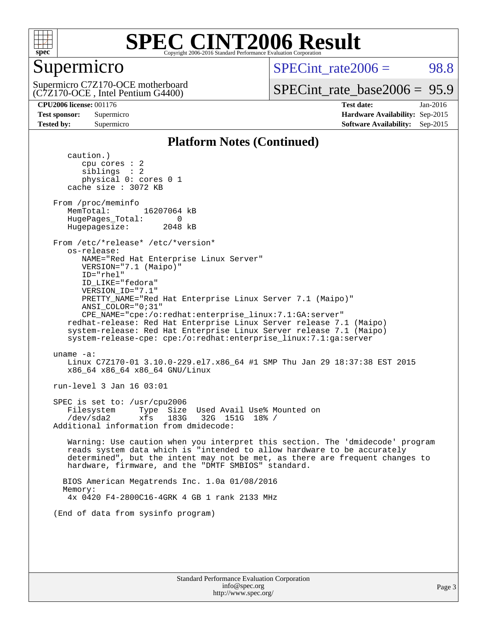

# Supermicro

 $SPECTnt rate2006 = 98.8$ 

(C7Z170-OCE , Intel Pentium G4400) Supermicro C7Z170-OCE motherboard

[SPECint\\_rate\\_base2006 =](http://www.spec.org/auto/cpu2006/Docs/result-fields.html#SPECintratebase2006) 95.9

**[CPU2006 license:](http://www.spec.org/auto/cpu2006/Docs/result-fields.html#CPU2006license)** 001176 **[Test date:](http://www.spec.org/auto/cpu2006/Docs/result-fields.html#Testdate)** Jan-2016 **[Test sponsor:](http://www.spec.org/auto/cpu2006/Docs/result-fields.html#Testsponsor)** Supermicro **[Hardware Availability:](http://www.spec.org/auto/cpu2006/Docs/result-fields.html#HardwareAvailability)** Sep-2015 **[Tested by:](http://www.spec.org/auto/cpu2006/Docs/result-fields.html#Testedby)** Supermicro **Supermicro [Software Availability:](http://www.spec.org/auto/cpu2006/Docs/result-fields.html#SoftwareAvailability)** Sep-2015

#### **[Platform Notes \(Continued\)](http://www.spec.org/auto/cpu2006/Docs/result-fields.html#PlatformNotes)**

 caution.) cpu cores : 2 siblings : 2 physical 0: cores 0 1 cache size : 3072 KB From /proc/meminfo MemTotal: 16207064 kB HugePages\_Total: 0<br>Hugepagesize: 2048 kB Hugepagesize: From /etc/\*release\* /etc/\*version\* os-release: NAME="Red Hat Enterprise Linux Server" VERSION="7.1 (Maipo)" ID="rhel" ID\_LIKE="fedora" VERSION\_ID="7.1" PRETTY\_NAME="Red Hat Enterprise Linux Server 7.1 (Maipo)" ANSI\_COLOR="0;31" CPE\_NAME="cpe:/o:redhat:enterprise\_linux:7.1:GA:server" redhat-release: Red Hat Enterprise Linux Server release 7.1 (Maipo) system-release: Red Hat Enterprise Linux Server release 7.1 (Maipo) system-release-cpe: cpe:/o:redhat:enterprise\_linux:7.1:ga:server uname -a: Linux C7Z170-01 3.10.0-229.el7.x86\_64 #1 SMP Thu Jan 29 18:37:38 EST 2015 x86\_64 x86\_64 x86\_64 GNU/Linux run-level 3 Jan 16 03:01 SPEC is set to: /usr/cpu2006 Filesystem Type Size Used Avail Use% Mounted on /dev/sda2 xfs 183G 32G 151G 18% / Additional information from dmidecode: Warning: Use caution when you interpret this section. The 'dmidecode' program reads system data which is "intended to allow hardware to be accurately determined", but the intent may not be met, as there are frequent changes to hardware, firmware, and the "DMTF SMBIOS" standard. BIOS American Megatrends Inc. 1.0a 01/08/2016 Memory: 4x 0420 F4-2800C16-4GRK 4 GB 1 rank 2133 MHz (End of data from sysinfo program)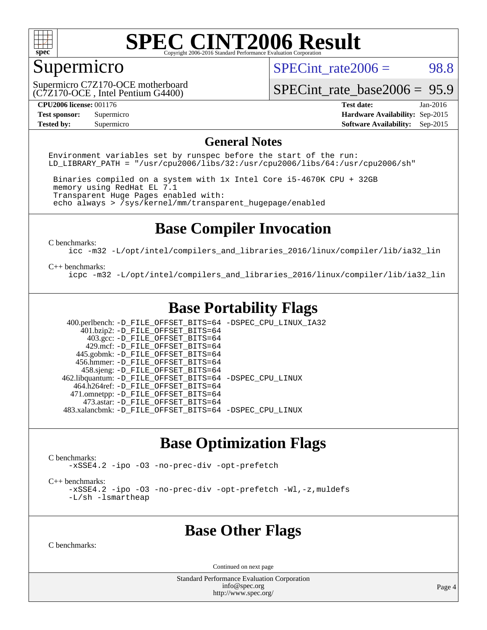

# Supermicro

SPECint rate $2006 = 98.8$ 

(C7Z170-OCE , Intel Pentium G4400) Supermicro C7Z170-OCE motherboard

[SPECint\\_rate\\_base2006 =](http://www.spec.org/auto/cpu2006/Docs/result-fields.html#SPECintratebase2006) 95.9

**[CPU2006 license:](http://www.spec.org/auto/cpu2006/Docs/result-fields.html#CPU2006license)** 001176 **[Test date:](http://www.spec.org/auto/cpu2006/Docs/result-fields.html#Testdate)** Jan-2016 **[Test sponsor:](http://www.spec.org/auto/cpu2006/Docs/result-fields.html#Testsponsor)** Supermicro **[Hardware Availability:](http://www.spec.org/auto/cpu2006/Docs/result-fields.html#HardwareAvailability)** Sep-2015 **[Tested by:](http://www.spec.org/auto/cpu2006/Docs/result-fields.html#Testedby)** Supermicro **Supermicro [Software Availability:](http://www.spec.org/auto/cpu2006/Docs/result-fields.html#SoftwareAvailability)** Sep-2015

#### **[General Notes](http://www.spec.org/auto/cpu2006/Docs/result-fields.html#GeneralNotes)**

Environment variables set by runspec before the start of the run: LD LIBRARY PATH = "/usr/cpu2006/libs/32:/usr/cpu2006/libs/64:/usr/cpu2006/sh"

 Binaries compiled on a system with 1x Intel Core i5-4670K CPU + 32GB memory using RedHat EL 7.1 Transparent Huge Pages enabled with: echo always > /sys/kernel/mm/transparent\_hugepage/enabled

# **[Base Compiler Invocation](http://www.spec.org/auto/cpu2006/Docs/result-fields.html#BaseCompilerInvocation)**

[C benchmarks](http://www.spec.org/auto/cpu2006/Docs/result-fields.html#Cbenchmarks):

[icc -m32 -L/opt/intel/compilers\\_and\\_libraries\\_2016/linux/compiler/lib/ia32\\_lin](http://www.spec.org/cpu2006/results/res2016q1/cpu2006-20160120-38714.flags.html#user_CCbase_intel_icc_e10256ba5924b668798078a321b0cb3f)

#### [C++ benchmarks:](http://www.spec.org/auto/cpu2006/Docs/result-fields.html#CXXbenchmarks)

[icpc -m32 -L/opt/intel/compilers\\_and\\_libraries\\_2016/linux/compiler/lib/ia32\\_lin](http://www.spec.org/cpu2006/results/res2016q1/cpu2006-20160120-38714.flags.html#user_CXXbase_intel_icpc_b4f50a394bdb4597aa5879c16bc3f5c5)

# **[Base Portability Flags](http://www.spec.org/auto/cpu2006/Docs/result-fields.html#BasePortabilityFlags)**

 400.perlbench: [-D\\_FILE\\_OFFSET\\_BITS=64](http://www.spec.org/cpu2006/results/res2016q1/cpu2006-20160120-38714.flags.html#user_basePORTABILITY400_perlbench_file_offset_bits_64_438cf9856305ebd76870a2c6dc2689ab) [-DSPEC\\_CPU\\_LINUX\\_IA32](http://www.spec.org/cpu2006/results/res2016q1/cpu2006-20160120-38714.flags.html#b400.perlbench_baseCPORTABILITY_DSPEC_CPU_LINUX_IA32)  $401.bzip2: -D$ FILE\_OFFSET\_BITS=64 403.gcc: [-D\\_FILE\\_OFFSET\\_BITS=64](http://www.spec.org/cpu2006/results/res2016q1/cpu2006-20160120-38714.flags.html#user_basePORTABILITY403_gcc_file_offset_bits_64_438cf9856305ebd76870a2c6dc2689ab) 429.mcf: [-D\\_FILE\\_OFFSET\\_BITS=64](http://www.spec.org/cpu2006/results/res2016q1/cpu2006-20160120-38714.flags.html#user_basePORTABILITY429_mcf_file_offset_bits_64_438cf9856305ebd76870a2c6dc2689ab) 445.gobmk: [-D\\_FILE\\_OFFSET\\_BITS=64](http://www.spec.org/cpu2006/results/res2016q1/cpu2006-20160120-38714.flags.html#user_basePORTABILITY445_gobmk_file_offset_bits_64_438cf9856305ebd76870a2c6dc2689ab) 456.hmmer: [-D\\_FILE\\_OFFSET\\_BITS=64](http://www.spec.org/cpu2006/results/res2016q1/cpu2006-20160120-38714.flags.html#user_basePORTABILITY456_hmmer_file_offset_bits_64_438cf9856305ebd76870a2c6dc2689ab) 458.sjeng: [-D\\_FILE\\_OFFSET\\_BITS=64](http://www.spec.org/cpu2006/results/res2016q1/cpu2006-20160120-38714.flags.html#user_basePORTABILITY458_sjeng_file_offset_bits_64_438cf9856305ebd76870a2c6dc2689ab) 462.libquantum: [-D\\_FILE\\_OFFSET\\_BITS=64](http://www.spec.org/cpu2006/results/res2016q1/cpu2006-20160120-38714.flags.html#user_basePORTABILITY462_libquantum_file_offset_bits_64_438cf9856305ebd76870a2c6dc2689ab) [-DSPEC\\_CPU\\_LINUX](http://www.spec.org/cpu2006/results/res2016q1/cpu2006-20160120-38714.flags.html#b462.libquantum_baseCPORTABILITY_DSPEC_CPU_LINUX) 464.h264ref: [-D\\_FILE\\_OFFSET\\_BITS=64](http://www.spec.org/cpu2006/results/res2016q1/cpu2006-20160120-38714.flags.html#user_basePORTABILITY464_h264ref_file_offset_bits_64_438cf9856305ebd76870a2c6dc2689ab) 471.omnetpp: [-D\\_FILE\\_OFFSET\\_BITS=64](http://www.spec.org/cpu2006/results/res2016q1/cpu2006-20160120-38714.flags.html#user_basePORTABILITY471_omnetpp_file_offset_bits_64_438cf9856305ebd76870a2c6dc2689ab) 473.astar: [-D\\_FILE\\_OFFSET\\_BITS=64](http://www.spec.org/cpu2006/results/res2016q1/cpu2006-20160120-38714.flags.html#user_basePORTABILITY473_astar_file_offset_bits_64_438cf9856305ebd76870a2c6dc2689ab) 483.xalancbmk: [-D\\_FILE\\_OFFSET\\_BITS=64](http://www.spec.org/cpu2006/results/res2016q1/cpu2006-20160120-38714.flags.html#user_basePORTABILITY483_xalancbmk_file_offset_bits_64_438cf9856305ebd76870a2c6dc2689ab) [-DSPEC\\_CPU\\_LINUX](http://www.spec.org/cpu2006/results/res2016q1/cpu2006-20160120-38714.flags.html#b483.xalancbmk_baseCXXPORTABILITY_DSPEC_CPU_LINUX)

### **[Base Optimization Flags](http://www.spec.org/auto/cpu2006/Docs/result-fields.html#BaseOptimizationFlags)**

[C benchmarks](http://www.spec.org/auto/cpu2006/Docs/result-fields.html#Cbenchmarks):

[-xSSE4.2](http://www.spec.org/cpu2006/results/res2016q1/cpu2006-20160120-38714.flags.html#user_CCbase_f-xSSE42_f91528193cf0b216347adb8b939d4107) [-ipo](http://www.spec.org/cpu2006/results/res2016q1/cpu2006-20160120-38714.flags.html#user_CCbase_f-ipo) [-O3](http://www.spec.org/cpu2006/results/res2016q1/cpu2006-20160120-38714.flags.html#user_CCbase_f-O3) [-no-prec-div](http://www.spec.org/cpu2006/results/res2016q1/cpu2006-20160120-38714.flags.html#user_CCbase_f-no-prec-div) [-opt-prefetch](http://www.spec.org/cpu2006/results/res2016q1/cpu2006-20160120-38714.flags.html#user_CCbase_f-opt-prefetch)

[C++ benchmarks:](http://www.spec.org/auto/cpu2006/Docs/result-fields.html#CXXbenchmarks)

[-xSSE4.2](http://www.spec.org/cpu2006/results/res2016q1/cpu2006-20160120-38714.flags.html#user_CXXbase_f-xSSE42_f91528193cf0b216347adb8b939d4107) [-ipo](http://www.spec.org/cpu2006/results/res2016q1/cpu2006-20160120-38714.flags.html#user_CXXbase_f-ipo) [-O3](http://www.spec.org/cpu2006/results/res2016q1/cpu2006-20160120-38714.flags.html#user_CXXbase_f-O3) [-no-prec-div](http://www.spec.org/cpu2006/results/res2016q1/cpu2006-20160120-38714.flags.html#user_CXXbase_f-no-prec-div) [-opt-prefetch](http://www.spec.org/cpu2006/results/res2016q1/cpu2006-20160120-38714.flags.html#user_CXXbase_f-opt-prefetch) [-Wl,-z,muldefs](http://www.spec.org/cpu2006/results/res2016q1/cpu2006-20160120-38714.flags.html#user_CXXbase_link_force_multiple1_74079c344b956b9658436fd1b6dd3a8a) [-L/sh -lsmartheap](http://www.spec.org/cpu2006/results/res2016q1/cpu2006-20160120-38714.flags.html#user_CXXbase_SmartHeap_32f6c82aa1ed9c52345d30cf6e4a0499)

### **[Base Other Flags](http://www.spec.org/auto/cpu2006/Docs/result-fields.html#BaseOtherFlags)**

[C benchmarks](http://www.spec.org/auto/cpu2006/Docs/result-fields.html#Cbenchmarks):

Continued on next page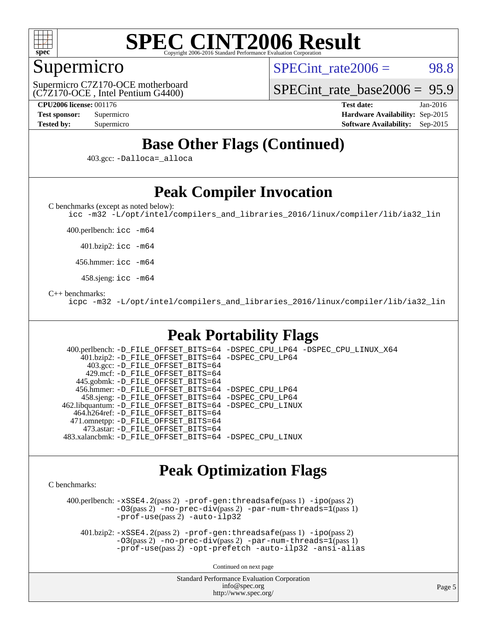

# Supermicro

 $SPECTnt rate2006 = 98.8$ 

(C7Z170-OCE , Intel Pentium G4400) Supermicro C7Z170-OCE motherboard [SPECint\\_rate\\_base2006 =](http://www.spec.org/auto/cpu2006/Docs/result-fields.html#SPECintratebase2006) 95.9

**[CPU2006 license:](http://www.spec.org/auto/cpu2006/Docs/result-fields.html#CPU2006license)** 001176 **[Test date:](http://www.spec.org/auto/cpu2006/Docs/result-fields.html#Testdate)** Jan-2016 **[Test sponsor:](http://www.spec.org/auto/cpu2006/Docs/result-fields.html#Testsponsor)** Supermicro **[Hardware Availability:](http://www.spec.org/auto/cpu2006/Docs/result-fields.html#HardwareAvailability)** Sep-2015 **[Tested by:](http://www.spec.org/auto/cpu2006/Docs/result-fields.html#Testedby)** Supermicro **[Software Availability:](http://www.spec.org/auto/cpu2006/Docs/result-fields.html#SoftwareAvailability)** Sep-2015

# **[Base Other Flags \(Continued\)](http://www.spec.org/auto/cpu2006/Docs/result-fields.html#BaseOtherFlags)**

403.gcc: [-Dalloca=\\_alloca](http://www.spec.org/cpu2006/results/res2016q1/cpu2006-20160120-38714.flags.html#b403.gcc_baseEXTRA_CFLAGS_Dalloca_be3056838c12de2578596ca5467af7f3)

# **[Peak Compiler Invocation](http://www.spec.org/auto/cpu2006/Docs/result-fields.html#PeakCompilerInvocation)**

[C benchmarks \(except as noted below\)](http://www.spec.org/auto/cpu2006/Docs/result-fields.html#Cbenchmarksexceptasnotedbelow):

[icc -m32 -L/opt/intel/compilers\\_and\\_libraries\\_2016/linux/compiler/lib/ia32\\_lin](http://www.spec.org/cpu2006/results/res2016q1/cpu2006-20160120-38714.flags.html#user_CCpeak_intel_icc_e10256ba5924b668798078a321b0cb3f)

400.perlbench: [icc -m64](http://www.spec.org/cpu2006/results/res2016q1/cpu2006-20160120-38714.flags.html#user_peakCCLD400_perlbench_intel_icc_64bit_bda6cc9af1fdbb0edc3795bac97ada53)

401.bzip2: [icc -m64](http://www.spec.org/cpu2006/results/res2016q1/cpu2006-20160120-38714.flags.html#user_peakCCLD401_bzip2_intel_icc_64bit_bda6cc9af1fdbb0edc3795bac97ada53)

456.hmmer: [icc -m64](http://www.spec.org/cpu2006/results/res2016q1/cpu2006-20160120-38714.flags.html#user_peakCCLD456_hmmer_intel_icc_64bit_bda6cc9af1fdbb0edc3795bac97ada53)

458.sjeng: [icc -m64](http://www.spec.org/cpu2006/results/res2016q1/cpu2006-20160120-38714.flags.html#user_peakCCLD458_sjeng_intel_icc_64bit_bda6cc9af1fdbb0edc3795bac97ada53)

[C++ benchmarks:](http://www.spec.org/auto/cpu2006/Docs/result-fields.html#CXXbenchmarks)

[icpc -m32 -L/opt/intel/compilers\\_and\\_libraries\\_2016/linux/compiler/lib/ia32\\_lin](http://www.spec.org/cpu2006/results/res2016q1/cpu2006-20160120-38714.flags.html#user_CXXpeak_intel_icpc_b4f50a394bdb4597aa5879c16bc3f5c5)

# **[Peak Portability Flags](http://www.spec.org/auto/cpu2006/Docs/result-fields.html#PeakPortabilityFlags)**

 400.perlbench: [-D\\_FILE\\_OFFSET\\_BITS=64](http://www.spec.org/cpu2006/results/res2016q1/cpu2006-20160120-38714.flags.html#user_peakPORTABILITY400_perlbench_file_offset_bits_64_438cf9856305ebd76870a2c6dc2689ab) [-DSPEC\\_CPU\\_LP64](http://www.spec.org/cpu2006/results/res2016q1/cpu2006-20160120-38714.flags.html#b400.perlbench_peakCPORTABILITY_DSPEC_CPU_LP64) [-DSPEC\\_CPU\\_LINUX\\_X64](http://www.spec.org/cpu2006/results/res2016q1/cpu2006-20160120-38714.flags.html#b400.perlbench_peakCPORTABILITY_DSPEC_CPU_LINUX_X64) 401.bzip2: [-D\\_FILE\\_OFFSET\\_BITS=64](http://www.spec.org/cpu2006/results/res2016q1/cpu2006-20160120-38714.flags.html#user_peakPORTABILITY401_bzip2_file_offset_bits_64_438cf9856305ebd76870a2c6dc2689ab) [-DSPEC\\_CPU\\_LP64](http://www.spec.org/cpu2006/results/res2016q1/cpu2006-20160120-38714.flags.html#suite_peakCPORTABILITY401_bzip2_DSPEC_CPU_LP64) 403.gcc: [-D\\_FILE\\_OFFSET\\_BITS=64](http://www.spec.org/cpu2006/results/res2016q1/cpu2006-20160120-38714.flags.html#user_peakPORTABILITY403_gcc_file_offset_bits_64_438cf9856305ebd76870a2c6dc2689ab) 429.mcf: [-D\\_FILE\\_OFFSET\\_BITS=64](http://www.spec.org/cpu2006/results/res2016q1/cpu2006-20160120-38714.flags.html#user_peakPORTABILITY429_mcf_file_offset_bits_64_438cf9856305ebd76870a2c6dc2689ab) 445.gobmk: [-D\\_FILE\\_OFFSET\\_BITS=64](http://www.spec.org/cpu2006/results/res2016q1/cpu2006-20160120-38714.flags.html#user_peakPORTABILITY445_gobmk_file_offset_bits_64_438cf9856305ebd76870a2c6dc2689ab) 456.hmmer: [-D\\_FILE\\_OFFSET\\_BITS=64](http://www.spec.org/cpu2006/results/res2016q1/cpu2006-20160120-38714.flags.html#user_peakPORTABILITY456_hmmer_file_offset_bits_64_438cf9856305ebd76870a2c6dc2689ab) [-DSPEC\\_CPU\\_LP64](http://www.spec.org/cpu2006/results/res2016q1/cpu2006-20160120-38714.flags.html#suite_peakCPORTABILITY456_hmmer_DSPEC_CPU_LP64) 458.sjeng: [-D\\_FILE\\_OFFSET\\_BITS=64](http://www.spec.org/cpu2006/results/res2016q1/cpu2006-20160120-38714.flags.html#user_peakPORTABILITY458_sjeng_file_offset_bits_64_438cf9856305ebd76870a2c6dc2689ab) [-DSPEC\\_CPU\\_LP64](http://www.spec.org/cpu2006/results/res2016q1/cpu2006-20160120-38714.flags.html#suite_peakCPORTABILITY458_sjeng_DSPEC_CPU_LP64) 462.libquantum: [-D\\_FILE\\_OFFSET\\_BITS=64](http://www.spec.org/cpu2006/results/res2016q1/cpu2006-20160120-38714.flags.html#user_peakPORTABILITY462_libquantum_file_offset_bits_64_438cf9856305ebd76870a2c6dc2689ab) [-DSPEC\\_CPU\\_LINUX](http://www.spec.org/cpu2006/results/res2016q1/cpu2006-20160120-38714.flags.html#b462.libquantum_peakCPORTABILITY_DSPEC_CPU_LINUX) 464.h264ref: [-D\\_FILE\\_OFFSET\\_BITS=64](http://www.spec.org/cpu2006/results/res2016q1/cpu2006-20160120-38714.flags.html#user_peakPORTABILITY464_h264ref_file_offset_bits_64_438cf9856305ebd76870a2c6dc2689ab) 471.omnetpp: [-D\\_FILE\\_OFFSET\\_BITS=64](http://www.spec.org/cpu2006/results/res2016q1/cpu2006-20160120-38714.flags.html#user_peakPORTABILITY471_omnetpp_file_offset_bits_64_438cf9856305ebd76870a2c6dc2689ab) 473.astar: [-D\\_FILE\\_OFFSET\\_BITS=64](http://www.spec.org/cpu2006/results/res2016q1/cpu2006-20160120-38714.flags.html#user_peakPORTABILITY473_astar_file_offset_bits_64_438cf9856305ebd76870a2c6dc2689ab) 483.xalancbmk: [-D\\_FILE\\_OFFSET\\_BITS=64](http://www.spec.org/cpu2006/results/res2016q1/cpu2006-20160120-38714.flags.html#user_peakPORTABILITY483_xalancbmk_file_offset_bits_64_438cf9856305ebd76870a2c6dc2689ab) [-DSPEC\\_CPU\\_LINUX](http://www.spec.org/cpu2006/results/res2016q1/cpu2006-20160120-38714.flags.html#b483.xalancbmk_peakCXXPORTABILITY_DSPEC_CPU_LINUX)

### **[Peak Optimization Flags](http://www.spec.org/auto/cpu2006/Docs/result-fields.html#PeakOptimizationFlags)**

[C benchmarks](http://www.spec.org/auto/cpu2006/Docs/result-fields.html#Cbenchmarks):

 400.perlbench: [-xSSE4.2](http://www.spec.org/cpu2006/results/res2016q1/cpu2006-20160120-38714.flags.html#user_peakPASS2_CFLAGSPASS2_LDCFLAGS400_perlbench_f-xSSE42_f91528193cf0b216347adb8b939d4107)(pass 2) [-prof-gen:threadsafe](http://www.spec.org/cpu2006/results/res2016q1/cpu2006-20160120-38714.flags.html#user_peakPASS1_CFLAGSPASS1_LDCFLAGS400_perlbench_prof_gen_21a26eb79f378b550acd7bec9fe4467a)(pass 1) [-ipo](http://www.spec.org/cpu2006/results/res2016q1/cpu2006-20160120-38714.flags.html#user_peakPASS2_CFLAGSPASS2_LDCFLAGS400_perlbench_f-ipo)(pass 2)  $-03(pass 2)$  [-no-prec-div](http://www.spec.org/cpu2006/results/res2016q1/cpu2006-20160120-38714.flags.html#user_peakPASS2_CFLAGSPASS2_LDCFLAGS400_perlbench_f-no-prec-div)(pass 2) [-par-num-threads=1](http://www.spec.org/cpu2006/results/res2016q1/cpu2006-20160120-38714.flags.html#user_peakPASS1_CFLAGSPASS1_LDCFLAGS400_perlbench_par_num_threads_786a6ff141b4e9e90432e998842df6c2)(pass 1) [-prof-use](http://www.spec.org/cpu2006/results/res2016q1/cpu2006-20160120-38714.flags.html#user_peakPASS2_CFLAGSPASS2_LDCFLAGS400_perlbench_prof_use_bccf7792157ff70d64e32fe3e1250b55)(pass 2) [-auto-ilp32](http://www.spec.org/cpu2006/results/res2016q1/cpu2006-20160120-38714.flags.html#user_peakCOPTIMIZE400_perlbench_f-auto-ilp32)

 401.bzip2: [-xSSE4.2](http://www.spec.org/cpu2006/results/res2016q1/cpu2006-20160120-38714.flags.html#user_peakPASS2_CFLAGSPASS2_LDCFLAGS401_bzip2_f-xSSE42_f91528193cf0b216347adb8b939d4107)(pass 2) [-prof-gen:threadsafe](http://www.spec.org/cpu2006/results/res2016q1/cpu2006-20160120-38714.flags.html#user_peakPASS1_CFLAGSPASS1_LDCFLAGS401_bzip2_prof_gen_21a26eb79f378b550acd7bec9fe4467a)(pass 1) [-ipo](http://www.spec.org/cpu2006/results/res2016q1/cpu2006-20160120-38714.flags.html#user_peakPASS2_CFLAGSPASS2_LDCFLAGS401_bzip2_f-ipo)(pass 2) [-O3](http://www.spec.org/cpu2006/results/res2016q1/cpu2006-20160120-38714.flags.html#user_peakPASS2_CFLAGSPASS2_LDCFLAGS401_bzip2_f-O3)(pass 2) [-no-prec-div](http://www.spec.org/cpu2006/results/res2016q1/cpu2006-20160120-38714.flags.html#user_peakPASS2_CFLAGSPASS2_LDCFLAGS401_bzip2_f-no-prec-div)(pass 2) [-par-num-threads=1](http://www.spec.org/cpu2006/results/res2016q1/cpu2006-20160120-38714.flags.html#user_peakPASS1_CFLAGSPASS1_LDCFLAGS401_bzip2_par_num_threads_786a6ff141b4e9e90432e998842df6c2)(pass 1) [-prof-use](http://www.spec.org/cpu2006/results/res2016q1/cpu2006-20160120-38714.flags.html#user_peakPASS2_CFLAGSPASS2_LDCFLAGS401_bzip2_prof_use_bccf7792157ff70d64e32fe3e1250b55)(pass 2) [-opt-prefetch](http://www.spec.org/cpu2006/results/res2016q1/cpu2006-20160120-38714.flags.html#user_peakCOPTIMIZE401_bzip2_f-opt-prefetch) [-auto-ilp32](http://www.spec.org/cpu2006/results/res2016q1/cpu2006-20160120-38714.flags.html#user_peakCOPTIMIZE401_bzip2_f-auto-ilp32) [-ansi-alias](http://www.spec.org/cpu2006/results/res2016q1/cpu2006-20160120-38714.flags.html#user_peakCOPTIMIZE401_bzip2_f-ansi-alias)

Continued on next page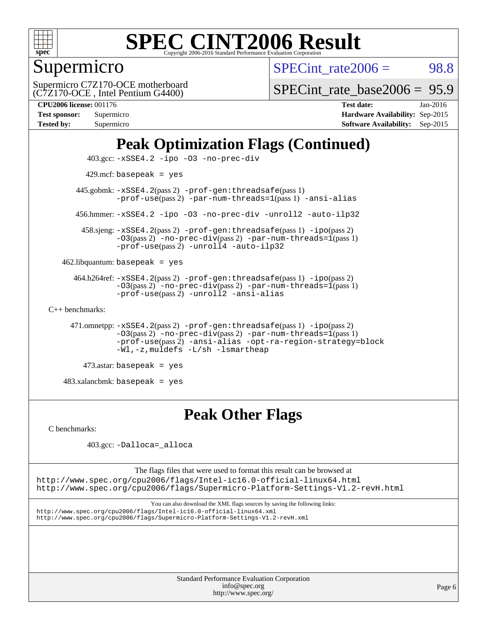

Supermicro

 $SPECTnt rate2006 = 98.8$ 

(C7Z170-OCE , Intel Pentium G4400) Supermicro C7Z170-OCE motherboard

[SPECint\\_rate\\_base2006 =](http://www.spec.org/auto/cpu2006/Docs/result-fields.html#SPECintratebase2006) 95.9

| <b>Test sponsor:</b> | Supermicro |
|----------------------|------------|
| <b>Tested by:</b>    | Supermicro |

**[CPU2006 license:](http://www.spec.org/auto/cpu2006/Docs/result-fields.html#CPU2006license)** 001176 **[Test date:](http://www.spec.org/auto/cpu2006/Docs/result-fields.html#Testdate)** Jan-2016 **[Hardware Availability:](http://www.spec.org/auto/cpu2006/Docs/result-fields.html#HardwareAvailability)** Sep-2015 **[Software Availability:](http://www.spec.org/auto/cpu2006/Docs/result-fields.html#SoftwareAvailability)** Sep-2015

# **[Peak Optimization Flags \(Continued\)](http://www.spec.org/auto/cpu2006/Docs/result-fields.html#PeakOptimizationFlags)**

```
 403.gcc: -xSSE4.2 -ipo -O3 -no-prec-div
         429.mcf: basepeak = yes
       445.gobmk: -xSSE4.2(pass 2) -prof-gen:threadsafe(pass 1)
                -prof-use(pass 2) -par-num-threads=1(pass 1) -ansi-alias
       456.hmmer: -xSSE4.2 -ipo -O3 -no-prec-div -unroll2 -auto-ilp32
        458.sjeng: -xSSE4.2(pass 2) -prof-gen:threadsafe(pass 1) -ipo(pass 2)
                -O3(pass 2) -no-prec-div(pass 2) -par-num-threads=1(pass 1)
                -prof-use-unroll4-auto-ilp32
    462.libquantum: basepeak = yes
      464.h264ref: -xSSE4.2(pass 2) -prof-gen:threadsafe(pass 1) -ipo(pass 2)
                -03(pass 2)-no-prec-div-par-num-threads=1(pass 1)
                -prof-use(pass 2) -unroll2 -ansi-alias
C++ benchmarks: 
      471.omnetpp: -xSSE4.2(pass 2) -prof-gen:threadsafe(pass 1) -ipo(pass 2)
                -O3(pass 2) -no-prec-div(pass 2) -par-num-threads=1(pass 1)
                -prof-use(pass 2) -ansi-alias -opt-ra-region-strategy=block
                -Wl,-z,muldefs -L/sh -lsmartheap
         473.astar: basepeak = yes
```
483.xalancbmk: basepeak = yes

# **[Peak Other Flags](http://www.spec.org/auto/cpu2006/Docs/result-fields.html#PeakOtherFlags)**

[C benchmarks](http://www.spec.org/auto/cpu2006/Docs/result-fields.html#Cbenchmarks):

403.gcc: [-Dalloca=\\_alloca](http://www.spec.org/cpu2006/results/res2016q1/cpu2006-20160120-38714.flags.html#b403.gcc_peakEXTRA_CFLAGS_Dalloca_be3056838c12de2578596ca5467af7f3)

The flags files that were used to format this result can be browsed at <http://www.spec.org/cpu2006/flags/Intel-ic16.0-official-linux64.html> <http://www.spec.org/cpu2006/flags/Supermicro-Platform-Settings-V1.2-revH.html>

You can also download the XML flags sources by saving the following links: <http://www.spec.org/cpu2006/flags/Intel-ic16.0-official-linux64.xml> <http://www.spec.org/cpu2006/flags/Supermicro-Platform-Settings-V1.2-revH.xml>